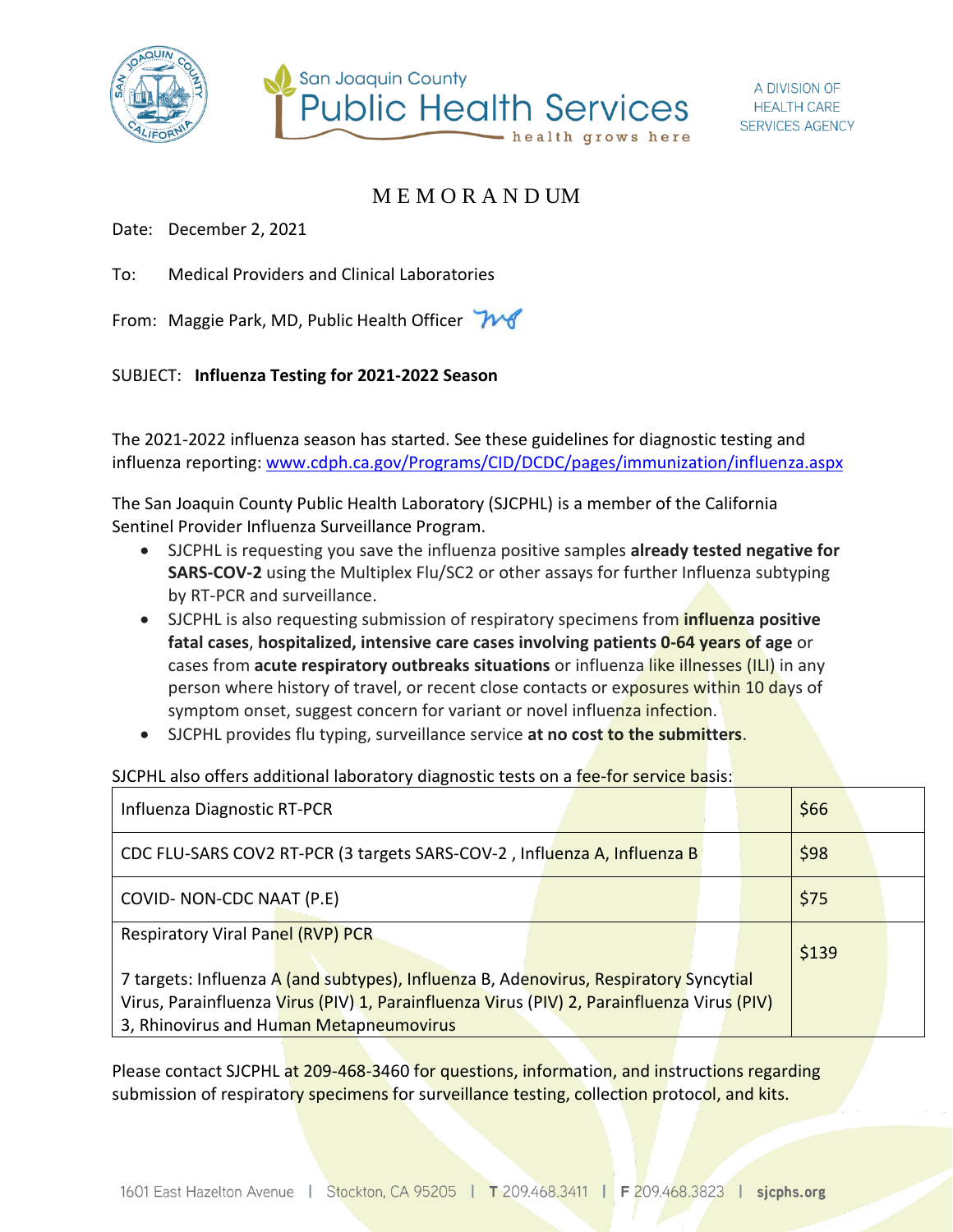



## M E M O R A N D UM

Date: December 2, 2021

To: Medical Providers and Clinical Laboratories

From: Maggie Park, MD, Public Health Officer

## SUBJECT: **Influenza Testing for 2021-2022 Season**

The 2021-2022 influenza season has started. See these guidelines for diagnostic testing and influenza reporting: [www.cdph.ca.gov/Programs/CID/DCDC/pages/immunization/influenza.aspx](http://www.cdph.ca.gov/Programs/CID/DCDC/pages/immunization/influenza.aspx)

The San Joaquin County Public Health Laboratory (SJCPHL) is a member of the California Sentinel Provider Influenza Surveillance Program.

- SJCPHL is requesting you save the influenza positive samples **already tested negative for SARS-COV-2** using the Multiplex Flu/SC2 or other assays for further Influenza subtyping by RT-PCR and surveillance.
- SJCPHL is also requesting submission of respiratory specimens from **influenza positive fatal cases**, **hospitalized, intensive care cases involving patients 0-64 years of age** or cases from **acute respiratory outbreaks situations** or influenza like illnesses (ILI) in any person where history of travel, or recent close contacts or exposures within 10 days of symptom onset, suggest concern for variant or novel influenza infection.
- SJCPHL provides flu typing, surveillance service **at no cost to the submitters**.

SJCPHL also offers additional laboratory diagnostic tests on a fee-for service basis:

| Influenza Diagnostic RT-PCR                                                                |  |  | \$66  |  |
|--------------------------------------------------------------------------------------------|--|--|-------|--|
| CDC FLU-SARS COV2 RT-PCR (3 targets SARS-COV-2, Influenza A, Influenza B                   |  |  | \$98  |  |
| COVID- NON-CDC NAAT (P.E)                                                                  |  |  | \$75  |  |
| Respiratory Viral Panel (RVP) PCR                                                          |  |  | \$139 |  |
| 7 targets: Influenza A (and subtypes), Influenza B, Adenovirus, Respiratory Syncytial      |  |  |       |  |
| Virus, Parainfluenza Virus (PIV) 1, Parainfluenza Virus (PIV) 2, Parainfluenza Virus (PIV) |  |  |       |  |
| 3, Rhinovirus and Human Metapneumovirus                                                    |  |  |       |  |

Please contact SJCPHL at 209-468-3460 for questions, information, and instructions regarding submission of respiratory specimens for surveillance testing, collection protocol, and kits.